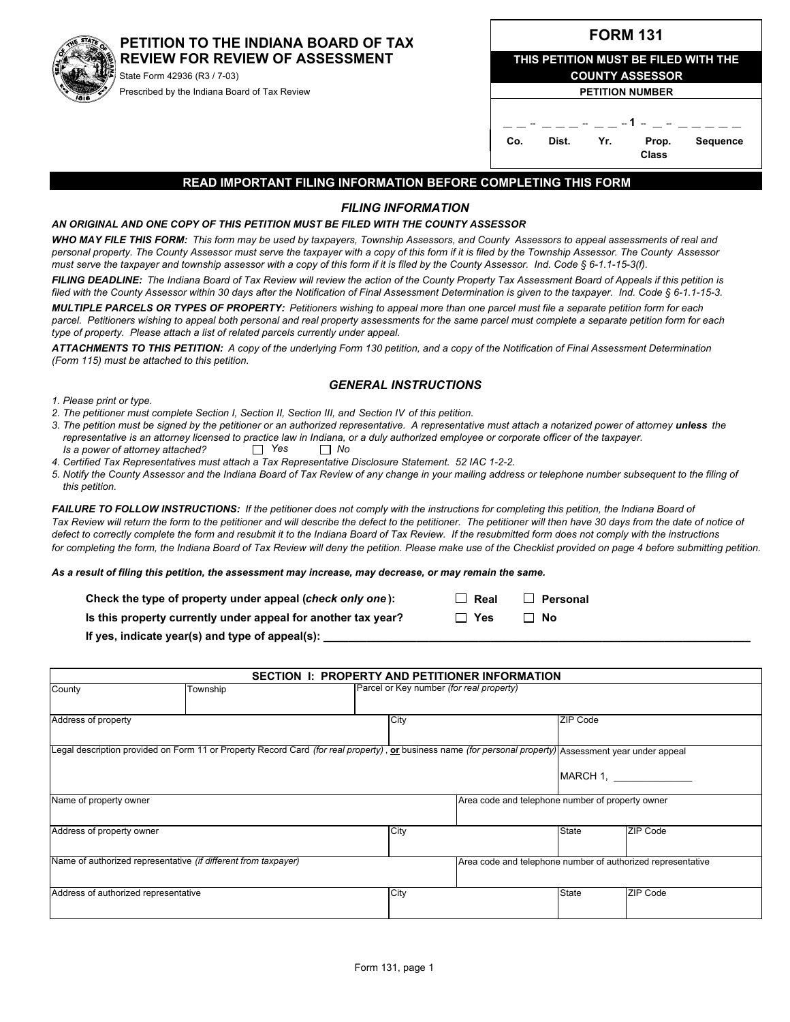# **PETITION TO THE INDIANA BOARD OF TAX REVIEW FOR REVIEW OF ASSESSMENT**

State Form 42936 (R3 / 7-03) Prescribed by the Indiana Board of Tax Review

| <b>FORM 131</b> |  |
|-----------------|--|
|-----------------|--|

| THIS PETITION MUST BE FILED WITH THE |     |                        |                 |
|--------------------------------------|-----|------------------------|-----------------|
|                                      |     | <b>COUNTY ASSESSOR</b> |                 |
|                                      |     | <b>PETITION NUMBER</b> |                 |
|                                      |     |                        |                 |
|                                      |     | - - <b>1</b> - -       |                 |
| Co.<br>Dist.                         | Yr. | Prop.<br>Class         | <b>Sequence</b> |

#### **READ IMPORTANT FILING INFORMATION BEFORE COMPLETING THIS FORM**

### *FILING INFORMATION*

#### *AN ORIGINAL AND ONE COPY OF THIS PETITION MUST BE FILED WITH THE COUNTY ASSESSOR*

*WHO MAY FILE THIS FORM: This form may be used by taxpayers, Township Assessors, and County Assessors to appeal assessments of real and personal property. The County Assessor must serve the taxpayer with a copy of this form if it is filed by the Township Assessor. The County Assessor must serve the taxpayer and township assessor with a copy of this form if it is filed by the County Assessor. Ind. Code § 6-1.1-15-3(f).*

*FILING DEADLINE: The Indiana Board of Tax Review will review the action of the County Property Tax Assessment Board of Appeals if this petition is filed with the County Assessor within 30 days after the Notification of Final Assessment Determination is given to the taxpayer. Ind. Code § 6-1.1-15-3.*

*MULTIPLE PARCELS OR TYPES OF PROPERTY: Petitioners wishing to appeal more than one parcel must file a separate petition form for each parcel. Petitioners wishing to appeal both personal and real property assessments for the same parcel must complete a separate petition form for each type of property. Please attach a list of related parcels currently under appeal.*

*ATTACHMENTS TO THIS PETITION: A copy of the underlying Form 130 petition, and a copy of the Notification of Final Assessment Determination (Form 115) must be attached to this petition.*

#### *GENERAL INSTRUCTIONS*

*1. Please print or type.*

- *2. The petitioner must complete Section I, Section II, Section III, and Section IV of this petition.*
- *3. The petition must be signed by the petitioner or an authorized representative. A representative must attach a notarized power of attorney unless the representative is an attorney licensed to practice law in Indiana, or a duly authorized employee or corporate officer of the taxpayer. Is a power of attorney attached?**Yes No*
- *4. Certified Tax Representatives must attach a Tax Representative Disclosure Statement. 52 IAC 1-2-2.*
- *5. Notify the County Assessor and the Indiana Board of Tax Review of any change in your mailing address or telephone number subsequent to the filing of this petition.*

*FAILURE TO FOLLOW INSTRUCTIONS: If the petitioner does not comply with the instructions for completing this petition, the Indiana Board of Tax Review will return the form to the petitioner and will describe the defect to the petitioner. The petitioner will then have 30 days from the date of notice of defect to correctly complete the form and resubmit it to the Indiana Board of Tax Review. If the resubmitted form does not comply with the instructions for completing the form, the Indiana Board of Tax Review will deny the petition. Please make use of the Checklist provided on page 4 before submitting petition.*

*As a result of filing this petition, the assessment may increase, may decrease, or may remain the same.*

| Check the type of property under appeal (check only one):     | $\Box$ Real | $\Box$ Personal |
|---------------------------------------------------------------|-------------|-----------------|
| Is this property currently under appeal for another tax year? | □ Yes       | $\Box$ No       |

If yes, indicate year(s) and type of appeal(s):

|                                      |                                                                | SECTION 1: PROPERTY AND PETITIONER INFORMATION                                                                                                            |                                                             |          |
|--------------------------------------|----------------------------------------------------------------|-----------------------------------------------------------------------------------------------------------------------------------------------------------|-------------------------------------------------------------|----------|
| County                               | Township                                                       | Parcel or Key number (for real property)                                                                                                                  |                                                             |          |
| Address of property                  |                                                                | City                                                                                                                                                      | ZIP Code                                                    |          |
|                                      |                                                                | [Legal description provided on Form 11 or Property Record Card (for real property), or business name (for personal property) Assessment year under appeal |                                                             |          |
|                                      |                                                                |                                                                                                                                                           |                                                             | MARCH 1. |
| Name of property owner               |                                                                |                                                                                                                                                           | Area code and telephone number of property owner            |          |
| Address of property owner            |                                                                | City                                                                                                                                                      | <b>State</b>                                                | ZIP Code |
|                                      | Name of authorized representative (if different from taxpayer) |                                                                                                                                                           | Area code and telephone number of authorized representative |          |
| Address of authorized representative |                                                                | City                                                                                                                                                      | <b>State</b>                                                | ZIP Code |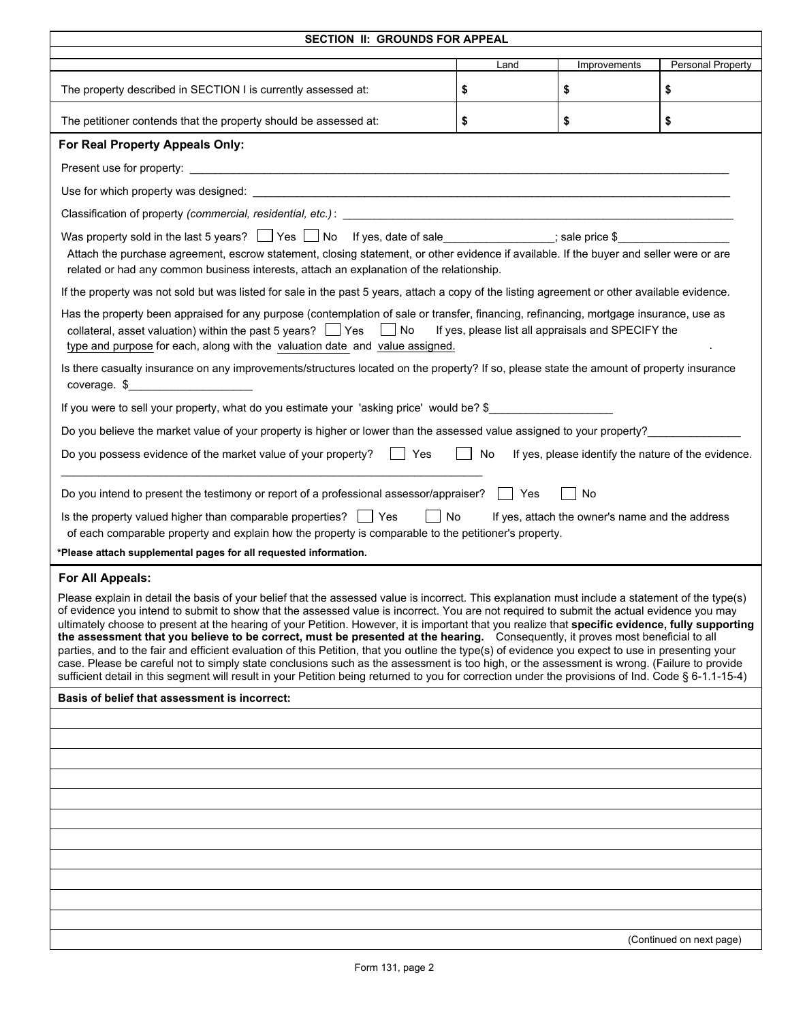| SECTION II: GROUNDS FOR APPEAL                                                                                                                                                                                                                                                                                                                                                                                                                                                                                                                                                                                                                                                                                                                                                                                                                                                                                                                                                                                                                  |                                                    |                                                     |                          |
|-------------------------------------------------------------------------------------------------------------------------------------------------------------------------------------------------------------------------------------------------------------------------------------------------------------------------------------------------------------------------------------------------------------------------------------------------------------------------------------------------------------------------------------------------------------------------------------------------------------------------------------------------------------------------------------------------------------------------------------------------------------------------------------------------------------------------------------------------------------------------------------------------------------------------------------------------------------------------------------------------------------------------------------------------|----------------------------------------------------|-----------------------------------------------------|--------------------------|
|                                                                                                                                                                                                                                                                                                                                                                                                                                                                                                                                                                                                                                                                                                                                                                                                                                                                                                                                                                                                                                                 | Land                                               | Improvements                                        | Personal Property        |
| The property described in SECTION I is currently assessed at:                                                                                                                                                                                                                                                                                                                                                                                                                                                                                                                                                                                                                                                                                                                                                                                                                                                                                                                                                                                   | \$                                                 | \$                                                  | \$                       |
| The petitioner contends that the property should be assessed at:                                                                                                                                                                                                                                                                                                                                                                                                                                                                                                                                                                                                                                                                                                                                                                                                                                                                                                                                                                                | \$                                                 | \$                                                  | \$                       |
| For Real Property Appeals Only:                                                                                                                                                                                                                                                                                                                                                                                                                                                                                                                                                                                                                                                                                                                                                                                                                                                                                                                                                                                                                 |                                                    |                                                     |                          |
|                                                                                                                                                                                                                                                                                                                                                                                                                                                                                                                                                                                                                                                                                                                                                                                                                                                                                                                                                                                                                                                 |                                                    |                                                     |                          |
|                                                                                                                                                                                                                                                                                                                                                                                                                                                                                                                                                                                                                                                                                                                                                                                                                                                                                                                                                                                                                                                 |                                                    |                                                     |                          |
| Classification of property (commercial, residential, etc.):<br>Classification of property (commercial, residential, etc.):                                                                                                                                                                                                                                                                                                                                                                                                                                                                                                                                                                                                                                                                                                                                                                                                                                                                                                                      |                                                    |                                                     |                          |
| Was property sold in the last 5 years? Ves No If yes, date of sale<br>Attach the purchase agreement, escrow statement, closing statement, or other evidence if available. If the buyer and seller were or are<br>related or had any common business interests, attach an explanation of the relationship.                                                                                                                                                                                                                                                                                                                                                                                                                                                                                                                                                                                                                                                                                                                                       |                                                    |                                                     |                          |
| If the property was not sold but was listed for sale in the past 5 years, attach a copy of the listing agreement or other available evidence.                                                                                                                                                                                                                                                                                                                                                                                                                                                                                                                                                                                                                                                                                                                                                                                                                                                                                                   |                                                    |                                                     |                          |
| Has the property been appraised for any purpose (contemplation of sale or transfer, financing, refinancing, mortgage insurance, use as<br>collateral, asset valuation) within the past 5 years? $\Box$ Yes $\Box$ No<br>type and purpose for each, along with the valuation date and value assigned.                                                                                                                                                                                                                                                                                                                                                                                                                                                                                                                                                                                                                                                                                                                                            | If yes, please list all appraisals and SPECIFY the |                                                     |                          |
| Is there casualty insurance on any improvements/structures located on the property? If so, please state the amount of property insurance<br>coverage. $\frac{1}{2}$                                                                                                                                                                                                                                                                                                                                                                                                                                                                                                                                                                                                                                                                                                                                                                                                                                                                             |                                                    |                                                     |                          |
| If you were to sell your property, what do you estimate your 'asking price' would be? \$                                                                                                                                                                                                                                                                                                                                                                                                                                                                                                                                                                                                                                                                                                                                                                                                                                                                                                                                                        |                                                    |                                                     |                          |
| Do you believe the market value of your property is higher or lower than the assessed value assigned to your property?                                                                                                                                                                                                                                                                                                                                                                                                                                                                                                                                                                                                                                                                                                                                                                                                                                                                                                                          |                                                    |                                                     |                          |
| Do you possess evidence of the market value of your property? $\Box$ Yes                                                                                                                                                                                                                                                                                                                                                                                                                                                                                                                                                                                                                                                                                                                                                                                                                                                                                                                                                                        | No                                                 | If yes, please identify the nature of the evidence. |                          |
| Do you intend to present the testimony or report of a professional assessor/appraiser?     Yes                                                                                                                                                                                                                                                                                                                                                                                                                                                                                                                                                                                                                                                                                                                                                                                                                                                                                                                                                  |                                                    | No                                                  |                          |
| Is the property valued higher than comparable properties? $\Box$ Yes<br>    No<br>of each comparable property and explain how the property is comparable to the petitioner's property.                                                                                                                                                                                                                                                                                                                                                                                                                                                                                                                                                                                                                                                                                                                                                                                                                                                          |                                                    | If yes, attach the owner's name and the address     |                          |
| *Please attach supplemental pages for all requested information.                                                                                                                                                                                                                                                                                                                                                                                                                                                                                                                                                                                                                                                                                                                                                                                                                                                                                                                                                                                |                                                    |                                                     |                          |
| For All Appeals:                                                                                                                                                                                                                                                                                                                                                                                                                                                                                                                                                                                                                                                                                                                                                                                                                                                                                                                                                                                                                                |                                                    |                                                     |                          |
| Please explain in detail the basis of your belief that the assessed value is incorrect. This explanation must include a statement of the type(s)<br>of evidence you intend to submit to show that the assessed value is incorrect. You are not required to submit the actual evidence you may<br>ultimately choose to present at the hearing of your Petition. However, it is important that you realize that specific evidence, fully supporting<br>the assessment that you believe to be correct, must be presented at the hearing. Consequently, it proves most beneficial to all<br>parties, and to the fair and efficient evaluation of this Petition, that you outline the type(s) of evidence you expect to use in presenting your<br>case. Please be careful not to simply state conclusions such as the assessment is too high, or the assessment is wrong. (Failure to provide<br>sufficient detail in this segment will result in your Petition being returned to you for correction under the provisions of Ind. Code § 6-1.1-15-4) |                                                    |                                                     |                          |
| Basis of belief that assessment is incorrect:                                                                                                                                                                                                                                                                                                                                                                                                                                                                                                                                                                                                                                                                                                                                                                                                                                                                                                                                                                                                   |                                                    |                                                     |                          |
|                                                                                                                                                                                                                                                                                                                                                                                                                                                                                                                                                                                                                                                                                                                                                                                                                                                                                                                                                                                                                                                 |                                                    |                                                     |                          |
|                                                                                                                                                                                                                                                                                                                                                                                                                                                                                                                                                                                                                                                                                                                                                                                                                                                                                                                                                                                                                                                 |                                                    |                                                     |                          |
|                                                                                                                                                                                                                                                                                                                                                                                                                                                                                                                                                                                                                                                                                                                                                                                                                                                                                                                                                                                                                                                 |                                                    |                                                     |                          |
|                                                                                                                                                                                                                                                                                                                                                                                                                                                                                                                                                                                                                                                                                                                                                                                                                                                                                                                                                                                                                                                 |                                                    |                                                     |                          |
|                                                                                                                                                                                                                                                                                                                                                                                                                                                                                                                                                                                                                                                                                                                                                                                                                                                                                                                                                                                                                                                 |                                                    |                                                     |                          |
|                                                                                                                                                                                                                                                                                                                                                                                                                                                                                                                                                                                                                                                                                                                                                                                                                                                                                                                                                                                                                                                 |                                                    |                                                     |                          |
|                                                                                                                                                                                                                                                                                                                                                                                                                                                                                                                                                                                                                                                                                                                                                                                                                                                                                                                                                                                                                                                 |                                                    |                                                     |                          |
|                                                                                                                                                                                                                                                                                                                                                                                                                                                                                                                                                                                                                                                                                                                                                                                                                                                                                                                                                                                                                                                 |                                                    |                                                     |                          |
|                                                                                                                                                                                                                                                                                                                                                                                                                                                                                                                                                                                                                                                                                                                                                                                                                                                                                                                                                                                                                                                 |                                                    |                                                     |                          |
|                                                                                                                                                                                                                                                                                                                                                                                                                                                                                                                                                                                                                                                                                                                                                                                                                                                                                                                                                                                                                                                 |                                                    |                                                     | (Continued on next page) |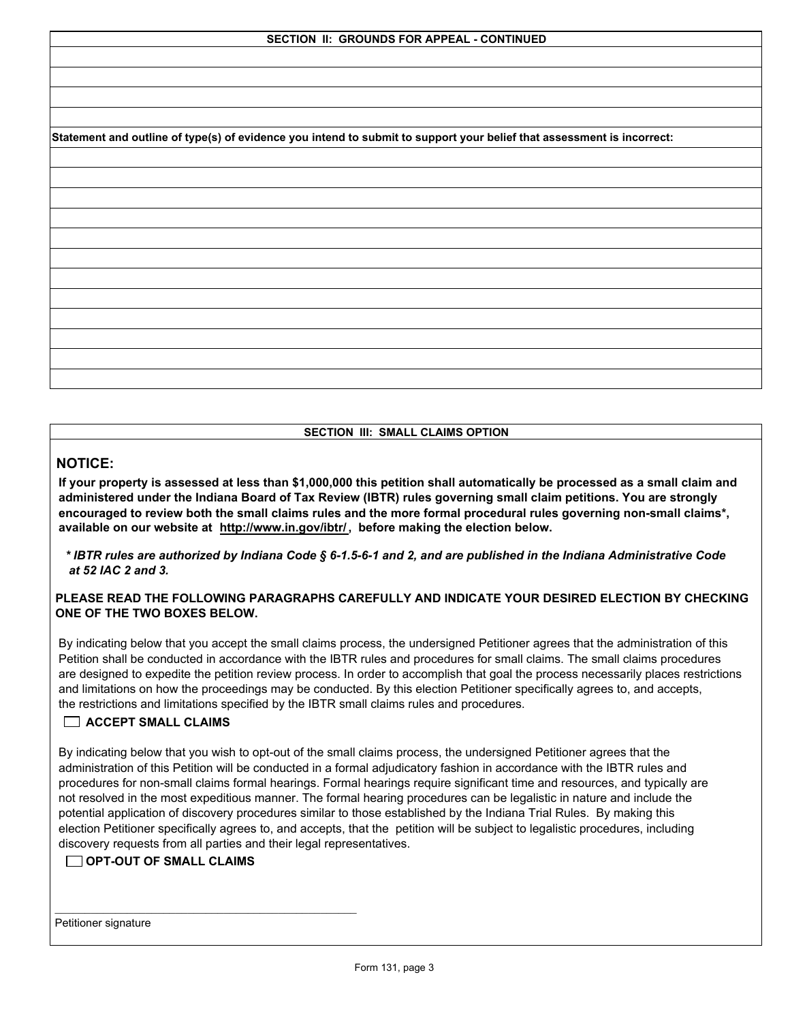**Statement and outline of type(s) of evidence you intend to submit to support your belief that assessment is incorrect:**

### **SECTION III: SMALL CLAIMS OPTION**

# **NOTICE:**

 **If your property is assessed at less than \$1,000,000 this petition shall automatically be processed as a small claim and administered under the Indiana Board of Tax Review (IBTR) rules governing small claim petitions. You are strongly encouraged to review both the small claims rules and the more formal procedural rules governing non-small claims\*, available on our website at http://www.in.gov/ibtr/ , before making the election below.**

 *\* IBTR rules are authorized by Indiana Code § 6-1.5-6-1 and 2, and are published in the Indiana Administrative Code at 52 IAC 2 and 3.*

# **PLEASE READ THE FOLLOWING PARAGRAPHS CAREFULLY AND INDICATE YOUR DESIRED ELECTION BY CHECKING ONE OF THE TWO BOXES BELOW.**

 By indicating below that you accept the small claims process, the undersigned Petitioner agrees that the administration of this Petition shall be conducted in accordance with the IBTR rules and procedures for small claims. The small claims procedures are designed to expedite the petition review process. In order to accomplish that goal the process necessarily places restrictions and limitations on how the proceedings may be conducted. By this election Petitioner specifically agrees to, and accepts, the restrictions and limitations specified by the IBTR small claims rules and procedures.

# **ACCEPT SMALL CLAIMS**

 By indicating below that you wish to opt-out of the small claims process, the undersigned Petitioner agrees that the administration of this Petition will be conducted in a formal adjudicatory fashion in accordance with the IBTR rules and procedures for non-small claims formal hearings. Formal hearings require significant time and resources, and typically are not resolved in the most expeditious manner. The formal hearing procedures can be legalistic in nature and include the potential application of discovery procedures similar to those established by the Indiana Trial Rules. By making this election Petitioner specifically agrees to, and accepts, that the petition will be subject to legalistic procedures, including discovery requests from all parties and their legal representatives.

# **OPT-OUT OF SMALL CLAIMS**

Petitioner signature